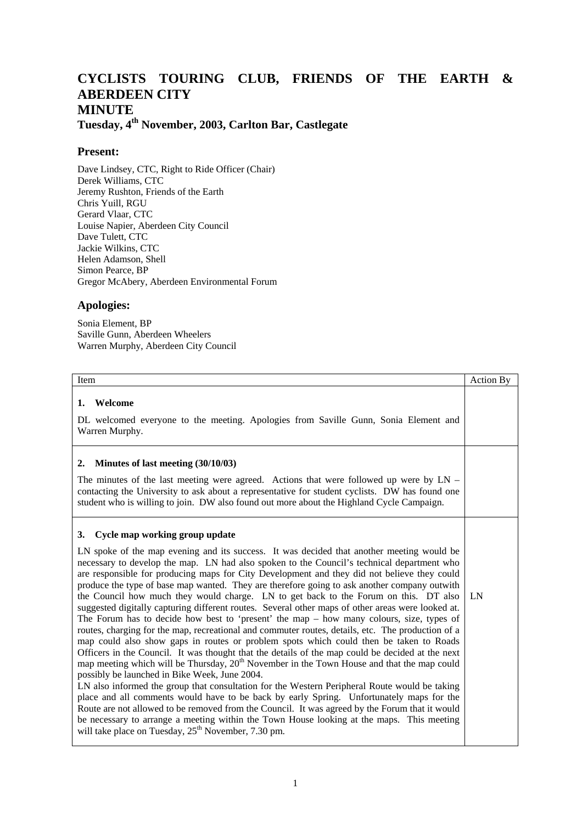## **CYCLISTS TOURING CLUB, FRIENDS OF THE EARTH & ABERDEEN CITY MINUTE**

**Tuesday, 4th November, 2003, Carlton Bar, Castlegate**

## **Present:**

Dave Lindsey, CTC, Right to Ride Officer (Chair) Derek Williams, CTC Jeremy Rushton, Friends of the Earth Chris Yuill, RGU Gerard Vlaar, CTC Louise Napier, Aberdeen City Council Dave Tulett, CTC Jackie Wilkins, CTC Helen Adamson, Shell Simon Pearce, BP Gregor McAbery, Aberdeen Environmental Forum

## **Apologies:**

Sonia Element, BP Saville Gunn, Aberdeen Wheelers Warren Murphy, Aberdeen City Council

| Item                                                                                                                                                                                                                                                                                                                                                                                                                                                                                                                                                                                                                                                                                                                                                                                                                                                                                                                                                                                                                                                                                                                                                                                                                                                                                                                                                                                                                                                                                                                                                                                                                                                   | Action By |
|--------------------------------------------------------------------------------------------------------------------------------------------------------------------------------------------------------------------------------------------------------------------------------------------------------------------------------------------------------------------------------------------------------------------------------------------------------------------------------------------------------------------------------------------------------------------------------------------------------------------------------------------------------------------------------------------------------------------------------------------------------------------------------------------------------------------------------------------------------------------------------------------------------------------------------------------------------------------------------------------------------------------------------------------------------------------------------------------------------------------------------------------------------------------------------------------------------------------------------------------------------------------------------------------------------------------------------------------------------------------------------------------------------------------------------------------------------------------------------------------------------------------------------------------------------------------------------------------------------------------------------------------------------|-----------|
| Welcome<br>1.<br>DL welcomed everyone to the meeting. Apologies from Saville Gunn, Sonia Element and<br>Warren Murphy.                                                                                                                                                                                                                                                                                                                                                                                                                                                                                                                                                                                                                                                                                                                                                                                                                                                                                                                                                                                                                                                                                                                                                                                                                                                                                                                                                                                                                                                                                                                                 |           |
| Minutes of last meeting (30/10/03)<br>2.<br>The minutes of the last meeting were agreed. Actions that were followed up were by $LN -$<br>contacting the University to ask about a representative for student cyclists. DW has found one<br>student who is willing to join. DW also found out more about the Highland Cycle Campaign.                                                                                                                                                                                                                                                                                                                                                                                                                                                                                                                                                                                                                                                                                                                                                                                                                                                                                                                                                                                                                                                                                                                                                                                                                                                                                                                   |           |
| Cycle map working group update<br>3.<br>LN spoke of the map evening and its success. It was decided that another meeting would be<br>necessary to develop the map. LN had also spoken to the Council's technical department who<br>are responsible for producing maps for City Development and they did not believe they could<br>produce the type of base map wanted. They are therefore going to ask another company outwith<br>the Council how much they would charge. LN to get back to the Forum on this. DT also<br>suggested digitally capturing different routes. Several other maps of other areas were looked at.<br>The Forum has to decide how best to 'present' the map $-$ how many colours, size, types of<br>routes, charging for the map, recreational and commuter routes, details, etc. The production of a<br>map could also show gaps in routes or problem spots which could then be taken to Roads<br>Officers in the Council. It was thought that the details of the map could be decided at the next<br>map meeting which will be Thursday, 20 <sup>th</sup> November in the Town House and that the map could<br>possibly be launched in Bike Week, June 2004.<br>LN also informed the group that consultation for the Western Peripheral Route would be taking<br>place and all comments would have to be back by early Spring. Unfortunately maps for the<br>Route are not allowed to be removed from the Council. It was agreed by the Forum that it would<br>be necessary to arrange a meeting within the Town House looking at the maps. This meeting<br>will take place on Tuesday, 25 <sup>th</sup> November, 7.30 pm. | LN        |